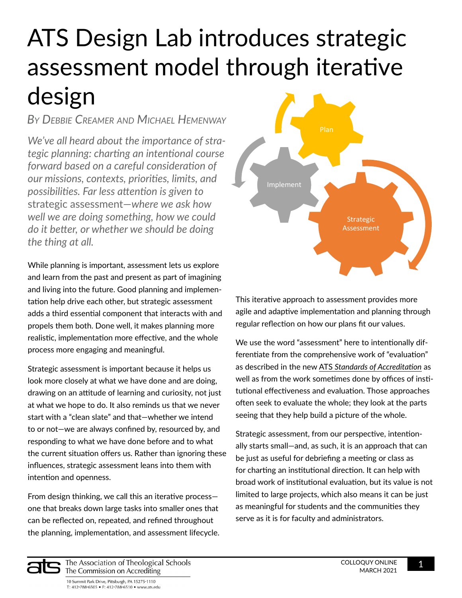# ATS Design Lab introduces strategic assessment model through iterative design

*By Debbie Creamer and Michael Hemenway*

*We've all heard about the importance of strategic planning: charting an intentional course forward based on a careful consideration of our missions, contexts, priorities, limits, and possibilities. Far less attention is given to*  strategic assessment—*where we ask how well we are doing something, how we could do it better, or whether we should be doing the thing at all.*

While planning is important, assessment lets us explore and learn from the past and present as part of imagining and living into the future. Good planning and implementation help drive each other, but strategic assessment adds a third essential component that interacts with and propels them both. Done well, it makes planning more realistic, implementation more effective, and the whole process more engaging and meaningful.

Strategic assessment is important because it helps us look more closely at what we have done and are doing, drawing on an attitude of learning and curiosity, not just at what we hope to do. It also reminds us that we never start with a "clean slate" and that—whether we intend to or not—we are always confined by, resourced by, and responding to what we have done before and to what the current situation offers us. Rather than ignoring these influences, strategic assessment leans into them with intention and openness.

From design thinking, we call this an iterative process one that breaks down large tasks into smaller ones that can be reflected on, repeated, and refined throughout the planning, implementation, and assessment lifecycle.



This iterative approach to assessment provides more agile and adaptive implementation and planning through regular reflection on how our plans fit our values.

We use the word "assessment" here to intentionally differentiate from the comprehensive work of "evaluation" as described in the new ATS *[Standards of Accreditation](https://www.ats.edu/accrediting/standards)* as well as from the work sometimes done by offices of institutional effectiveness and evaluation. Those approaches often seek to evaluate the whole; they look at the parts seeing that they help build a picture of the whole.

Strategic assessment, from our perspective, intentionally starts small—and, as such, it is an approach that can be just as useful for debriefing a meeting or class as for charting an institutional direction. It can help with broad work of institutional evaluation, but its value is not limited to large projects, which also means it can be just as meaningful for students and the communities they serve as it is for faculty and administrators.

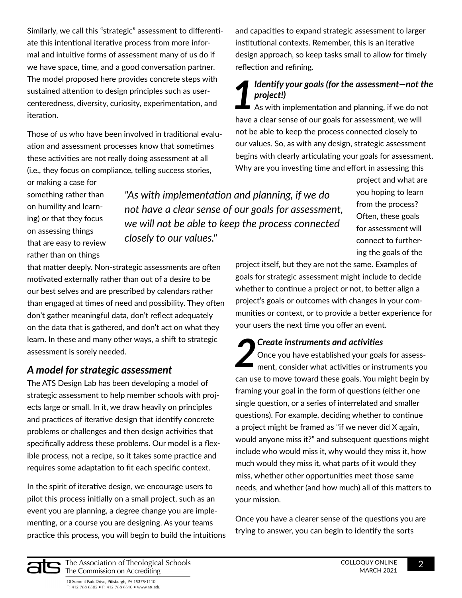Similarly, we call this "strategic" assessment to differentiate this intentional iterative process from more informal and intuitive forms of assessment many of us do if we have space, time, and a good conversation partner. The model proposed here provides concrete steps with sustained attention to design principles such as usercenteredness, diversity, curiosity, experimentation, and iteration.

Those of us who have been involved in traditional evaluation and assessment processes know that sometimes these activities are not really doing assessment at all (i.e., they focus on compliance, telling success stories,

and capacities to expand strategic assessment to larger institutional contexts. Remember, this is an iterative design approach, so keep tasks small to allow for timely reflection and refining.

### *1 Identify your goals (for the assessment—not the project!)*

As with implementation and planning, if we do not have a clear sense of our goals for assessment, we will not be able to keep the process connected closely to our values. So, as with any design, strategic assessment begins with clearly articulating your goals for assessment. Why are you investing time and effort in assessing this

or making a case for something rather than on humility and learning) or that they focus on assessing things that are easy to review rather than on things

*"As with implementation and planning, if we do not have a clear sense of our goals for assessment, we will not be able to keep the process connected closely to our values."*

that matter deeply. Non-strategic assessments are often motivated externally rather than out of a desire to be our best selves and are prescribed by calendars rather than engaged at times of need and possibility. They often don't gather meaningful data, don't reflect adequately on the data that is gathered, and don't act on what they learn. In these and many other ways, a shift to strategic assessment is sorely needed.

#### *A model for strategic assessment*

The ATS Design Lab has been developing a model of strategic assessment to help member schools with projects large or small. In it, we draw heavily on principles and practices of iterative design that identify concrete problems or challenges and then design activities that specifically address these problems. Our model is a flexible process, not a recipe, so it takes some practice and requires some adaptation to fit each specific context.

In the spirit of iterative design, we encourage users to pilot this process initially on a small project, such as an event you are planning, a degree change you are implementing, or a course you are designing. As your teams practice this process, you will begin to build the intuitions you hoping to learn from the process? Often, these goals for assessment will connect to furthering the goals of the

project and what are

project itself, but they are not the same. Examples of goals for strategic assessment might include to decide whether to continue a project or not, to better align a project's goals or outcomes with changes in your communities or context, or to provide a better experience for your users the next time you offer an event.

**2** *P**Create instruments and activities* Once you have established your goal ment, consider what activities or inst Once you have established your goals for assessment, consider what activities or instruments you can use to move toward these goals. You might begin by framing your goal in the form of questions (either one single question, or a series of interrelated and smaller questions). For example, deciding whether to continue a project might be framed as "if we never did X again, would anyone miss it?" and subsequent questions might include who would miss it, why would they miss it, how much would they miss it, what parts of it would they miss, whether other opportunities meet those same needs, and whether (and how much) all of this matters to your mission.

Once you have a clearer sense of the questions you are trying to answer, you can begin to identify the sorts

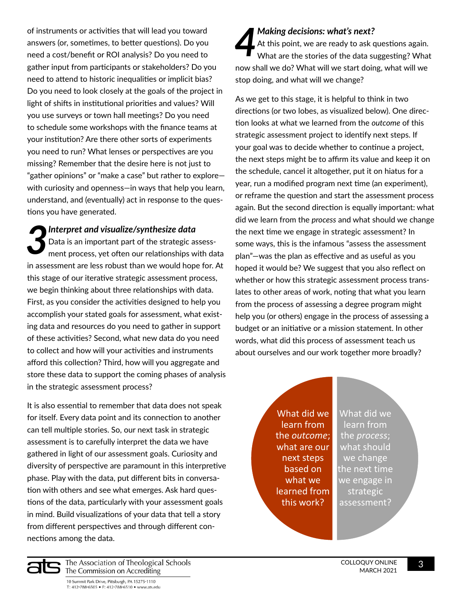of instruments or activities that will lead you toward answers (or, sometimes, to better questions). Do you need a cost/benefit or ROI analysis? Do you need to gather input from participants or stakeholders? Do you need to attend to historic inequalities or implicit bias? Do you need to look closely at the goals of the project in light of shifts in institutional priorities and values? Will you use surveys or town hall meetings? Do you need to schedule some workshops with the finance teams at your institution? Are there other sorts of experiments you need to run? What lenses or perspectives are you missing? Remember that the desire here is not just to "gather opinions" or "make a case" but rather to explore with curiosity and openness—in ways that help you learn, understand, and (eventually) act in response to the questions you have generated.

*3 Interpret and visualize/synthesize data* Data is an important part of the strategic assessment process, yet often our relationships with data in assessment are less robust than we would hope for. At this stage of our iterative strategic assessment process, we begin thinking about three relationships with data. First, as you consider the activities designed to help you accomplish your stated goals for assessment, what existing data and resources do you need to gather in support of these activities? Second, what new data do you need to collect and how will your activities and instruments afford this collection? Third, how will you aggregate and store these data to support the coming phases of analysis in the strategic assessment process?

It is also essential to remember that data does not speak for itself. Every data point and its connection to another can tell multiple stories. So, our next task in strategic assessment is to carefully interpret the data we have gathered in light of our assessment goals. Curiosity and diversity of perspective are paramount in this interpretive phase. Play with the data, put different bits in conversation with others and see what emerges. Ask hard questions of the data, particularly with your assessment goals in mind. Build visualizations of your data that tell a story from different perspectives and through different connections among the data.

**4** *Making decisions: what's next?*<br>At this point, we are ready to ask of<br>What are the stories of the data su At this point, we are ready to ask questions again. What are the stories of the data suggesting? What now shall we do? What will we start doing, what will we stop doing, and what will we change?

As we get to this stage, it is helpful to think in two directions (or two lobes, as visualized below). One direction looks at what we learned from the *outcome* of this strategic assessment project to identify next steps. If your goal was to decide whether to continue a project, the next steps might be to affirm its value and keep it on the schedule, cancel it altogether, put it on hiatus for a year, run a modified program next time (an experiment), or reframe the question and start the assessment process again. But the second direction is equally important: what did we learn from the *process* and what should we change the next time we engage in strategic assessment? In some ways, this is the infamous "assess the assessment plan"—was the plan as effective and as useful as you hoped it would be? We suggest that you also reflect on whether or how this strategic assessment process translates to other areas of work, noting that what you learn from the process of assessing a degree program might help you (or others) engage in the process of assessing a budget or an initiative or a mission statement. In other words, what did this process of assessment teach us about ourselves and our work together more broadly?

> What did we learn from the *outcome*; what are our next steps based on what we learned from this work?

What did we learn from the *process*; what should we change the next time we engage in strategic assessment?

The Association of Theological Schools The Commission on Accrediting